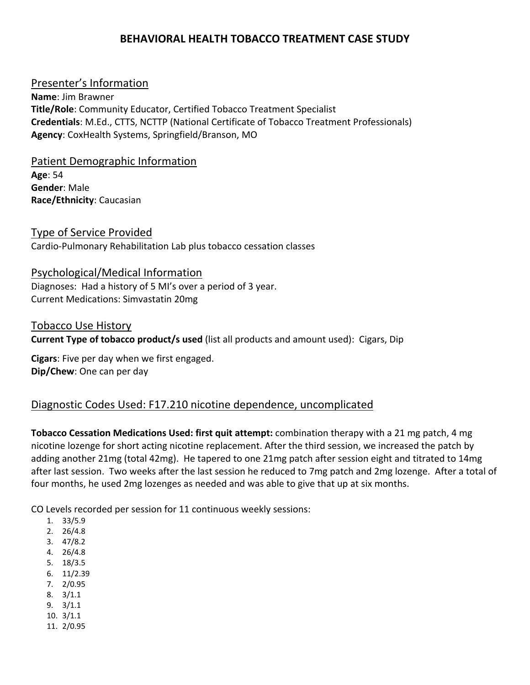# **BEHAVIORAL HEALTH TOBACCO TREATMENT CASE STUDY**

### Presenter's Information

**Name**: Jim Brawner **Title/Role**: Community Educator, Certified Tobacco Treatment Specialist **Credentials**: M.Ed., CTTS, NCTTP (National Certificate of Tobacco Treatment Professionals) **Agency**: CoxHealth Systems, Springfield/Branson, MO

Patient Demographic Information **Age**: 54 **Gender**: Male **Race/Ethnicity**: Caucasian

Type of Service Provided Cardio‐Pulmonary Rehabilitation Lab plus tobacco cessation classes

#### Psychological/Medical Information

Diagnoses: Had a history of 5 MI's over a period of 3 year. Current Medications: Simvastatin 20mg

Tobacco Use History

**Current Type of tobacco product/s used** (list all products and amount used): Cigars, Dip

**Cigars**: Five per day when we first engaged. **Dip/Chew**: One can per day

# Diagnostic Codes Used: F17.210 nicotine dependence, uncomplicated

**Tobacco Cessation Medications Used: first quit attempt:** combination therapy with a 21 mg patch, 4 mg nicotine lozenge for short acting nicotine replacement. After the third session, we increased the patch by adding another 21mg (total 42mg). He tapered to one 21mg patch after session eight and titrated to 14mg after last session. Two weeks after the last session he reduced to 7mg patch and 2mg lozenge. After a total of four months, he used 2mg lozenges as needed and was able to give that up at six months.

CO Levels recorded per session for 11 continuous weekly sessions:

- 1. 33/5.9
- 2. 26/4.8
- 3. 47/8.2
- 4. 26/4.8
- 5. 18/3.5
- 6. 11/2.39
- 7. 2/0.95
- 8. 3/1.1
- 9. 3/1.1
- 10. 3/1.1
- 11. 2/0.95